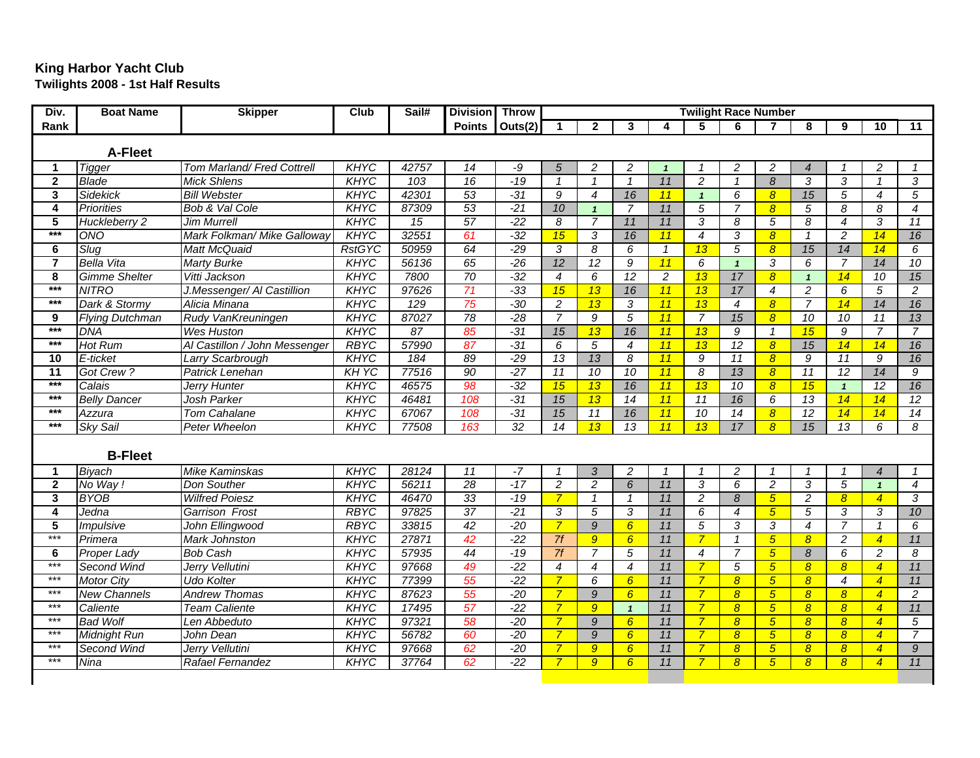## **King Harbor Yacht Club Twilights 2008 - 1st Half Results**

| Div.                    | <b>Boat Name</b>        | <b>Skipper</b>                | Club          | Sail# | Division Throw  |                 | <b>Twilight Race Number</b> |                     |                          |                |                  |                             |                          |                 |                  |                 |                     |
|-------------------------|-------------------------|-------------------------------|---------------|-------|-----------------|-----------------|-----------------------------|---------------------|--------------------------|----------------|------------------|-----------------------------|--------------------------|-----------------|------------------|-----------------|---------------------|
| Rank                    |                         |                               |               |       |                 | Points Outs(2)  | $\blacktriangleleft$        | $\overline{2}$      | 3                        | 4              | 5                | 6                           | $\overline{\phantom{a}}$ | 8               | 9                | 10              | 11                  |
| A-Fleet                 |                         |                               |               |       |                 |                 |                             |                     |                          |                |                  |                             |                          |                 |                  |                 |                     |
| 1                       | <b>Tigger</b>           | Tom Marland/ Fred Cottrell    | <b>KHYC</b>   | 42757 | 14              | -9              | 5                           | 2                   | $\overline{c}$           | $\mathbf{1}$   | $\mathcal I$     | 2                           | 2                        | $\overline{4}$  | $\mathbf{1}$     | 2               | $\mathcal I$        |
| $\overline{2}$          | <b>Blade</b>            | <b>Mick Shlens</b>            | <b>KHYC</b>   | 103   | 16              | $-19$           | $\overline{1}$              | $\overline{1}$      | $\overline{1}$           | 11             | $\overline{2}$   | $\overline{1}$              | $\overline{8}$           | $\overline{3}$  | $\overline{3}$   | $\overline{1}$  | $\overline{3}$      |
| $\overline{\mathbf{3}}$ | <b>Sidekick</b>         | <b>Bill Webster</b>           | <b>KHYC</b>   | 42301 | 53              | $-31$           | 9                           | $\boldsymbol{4}$    | 16                       | 11             | $\mathbf{1}$     | 6                           | $\overline{8}$           | 15              | 5                | $\overline{4}$  | $\overline{5}$      |
| $\overline{4}$          | <b>Priorities</b>       | <b>Bob &amp; Val Cole</b>     | <b>KHYC</b>   | 87309 | 53              | $-21$           | 10                          | $\mathbf{1}$        | $\overline{7}$           | 11             | $\overline{5}$   | $\overline{7}$              | $\boldsymbol{8}$         | 5               | 8                | 8               | $\overline{4}$      |
| $\overline{5}$          | Huckleberry 2           | Jim Murrell                   | <b>KHYC</b>   | 15    | 57              | $-22$           | 8                           | $\overline{7}$      | 11                       | 11             | $\overline{3}$   | 8                           | 5                        | $\overline{8}$  | $\overline{4}$   | $\overline{3}$  | 11                  |
| $***$                   | ONO                     | Mark Folkman/ Mike Galloway   | <b>KHYC</b>   | 32551 | 61              | $-32$           | 15                          | $\overline{3}$      | 16                       | 11             | $\overline{4}$   | $\overline{3}$              | $\overline{8}$           | $\mathbf{1}$    | $\overline{2}$   | 14              | 16                  |
| $\overline{\mathbf{6}}$ | Slug                    | <b>Matt McQuaid</b>           | <b>RstGYC</b> | 50959 | 64              | $-29$           | $\overline{3}$              | $\overline{\delta}$ | 6                        | $\mathbf{1}$   | 13               | 5                           | $\overline{8}$           | 15              | 14               | 14              | $6\overline{6}$     |
| $\overline{7}$          | <b>Bella Vita</b>       | <b>Marty Burke</b>            | <b>KHYC</b>   | 56136 | 65              | $-26$           | 12                          | $\overline{12}$     | $\overline{g}$           | 11             | 6                | $\mathbf{1}$                | 3                        | 6               | $\overline{7}$   | 14              | 10                  |
| 8                       | <b>Gimme Shelter</b>    | Vitti Jackson                 | <b>KHYC</b>   | 7800  | 70              | $-32$           | $\overline{4}$              | $\overline{6}$      | $\overline{12}$          | $\overline{2}$ | 13               | $\overline{17}$             | $\boldsymbol{8}$         | $\mathbf{1}$    | 14               | $\overline{10}$ | 15                  |
| $***$                   | <b>NITRO</b>            | J.Messenger/ Al Castillion    | <b>KHYC</b>   | 97626 | 71              | $-33$           | 15                          | 13                  | 16                       | 11             | 13               | 17                          | $\overline{4}$           | $\overline{2}$  | 6                | 5               | $\overline{2}$      |
| $***$                   | Dark & Stormy           | Alicia Minana                 | <b>KHYC</b>   | 129   | 75              | $-30$           | $\overline{2}$              | 13                  | $\overline{3}$           | 11             | 13               | $\boldsymbol{4}$            | $\overline{8}$           | $\overline{7}$  | 14               | 14              | 16                  |
| 9                       | <b>Flying Dutchman</b>  | Rudy VanKreuningen            | KHYC          | 87027 | 78              | $-28$           | $\overline{7}$              | 9                   | 5                        | 11             | $\overline{7}$   | 15                          | $\overline{8}$           | $\overline{10}$ | 10               | 11              | 13                  |
| $***$                   | <b>DNA</b>              | <b>Wes Huston</b>             | <b>KHYC</b>   | 87    | 85              | $-31$           | 15                          | 13                  | 16                       | 11             | 13               | $\overline{9}$              | $\mathbf{1}$             | 15              | 9                | $\overline{7}$  | $\overline{7}$      |
| $***$                   | Hot Rum                 | Al Castillon / John Messenger | <b>RBYC</b>   | 57990 | 87              | $-31$           | 6                           | $\overline{5}$      | $\boldsymbol{4}$         | 11             | 13               | 12                          | $\overline{8}$           | 15              | 14               | 14              | 16                  |
| 10                      | E-ticket                | Larry Scarbrough              | <b>KHYC</b>   | 184   | 89              | $-29$           | 13                          | 13                  | $\overline{\mathcal{E}}$ | 11             | $\overline{g}$   | 11                          | $\overline{8}$           | $\overline{9}$  | 11               | $\overline{9}$  | 16                  |
| $\overline{11}$         | Got Crew?               | <b>Patrick Lenehan</b>        | KH YC         | 77516 | 90              | $-27$           | $\overline{11}$             | 10                  | 10                       | 11             | $\overline{8}$   | 13                          | $\overline{8}$           | 11              | 12               | 14              | $\overline{g}$      |
| $***$                   | Calais                  | Jerry Hunter                  | <b>KHYC</b>   | 46575 | 98              | $-32$           | 15                          | 13                  | 16                       | 11             | 13               | 10                          | $\boldsymbol{8}$         | 15              | $\mathbf{1}$     | 12              | 16                  |
| $***$                   | <b>Belly Dancer</b>     | Josh Parker                   | <b>KHYC</b>   | 46481 | 108             | $-31$           | 15                          | 13                  | 14                       | 11             | 11               | 16                          | 6                        | 13              | 14               | 14              | $\overline{12}$     |
| $***$                   | Azzura                  | <b>Tom Cahalane</b>           | <b>KHYC</b>   | 67067 | 108             | $-31$           | 15                          | 11                  | 16                       | 11             | 10               | 14                          | $\boldsymbol{8}$         | 12              | 14               | 14              | 14                  |
| $***$                   | <b>Sky Sail</b>         | <b>Peter Wheelon</b>          | <b>KHYC</b>   | 77508 | 163             | $\overline{32}$ | $\overline{14}$             | 13                  | 13                       | 11             | 13               | 17                          | $\overline{8}$           | 15              | 13               | $\overline{6}$  | $\overline{\delta}$ |
|                         | <b>B-Fleet</b>          |                               |               |       |                 |                 |                             |                     |                          |                |                  |                             |                          |                 |                  |                 |                     |
| $\mathbf{1}$            | <b>Biyach</b>           | <b>Mike Kaminskas</b>         | <b>KHYC</b>   | 28124 | $\overline{11}$ | $-7$            | $\overline{\mathbf{1}}$     | 3                   | $\overline{2}$           | $\mathbf{1}$   | $\mathbf{1}$     | $\overline{c}$              | $\mathbf{1}$             | $\mathbf{1}$    | $\mathbf{1}$     | $\overline{4}$  | $\mathcal I$        |
| $\mathbf{2}$            | No Way!                 | Don Souther                   | KHYC          | 56211 | 28              | $-17$           | $\overline{2}$              | $\overline{2}$      | 6                        | 11             | $\overline{3}$   | 6                           | $\overline{2}$           | 3               | 5                | $\mathbf{1}$    | $\overline{4}$      |
| $\overline{\mathbf{3}}$ | <b>BYOB</b>             | <b>Wilfred Poiesz</b>         | <b>KHYC</b>   | 46470 | 33              | $-19$           | $\overline{7}$              | $\mathbf{1}$        | $\mathbf{1}$             | 11             | $\overline{2}$   | $\overline{\boldsymbol{8}}$ | $5\overline{)}$          | $\overline{2}$  | $\boldsymbol{8}$ | $\overline{4}$  | $\overline{3}$      |
| $\overline{4}$          | Jedna                   | Garrison Frost                | <b>RBYC</b>   | 97825 | $\overline{37}$ | $-21$           | 3                           | $\overline{5}$      | $\overline{3}$           | 11             | 6                | $\overline{4}$              | $5\overline{)}$          | 5               | 3                | 3               | 10                  |
| 5                       | <i><b>Impulsive</b></i> | John Ellingwood               | <b>RBYC</b>   | 33815 | 42              | $-20$           | $\overline{7}$              | $\overline{9}$      | $6^{\circ}$              | 11             | $\overline{5}$   | 3                           | 3                        | $\overline{4}$  | $\overline{7}$   | $\mathbf{1}$    | $6\overline{6}$     |
| $***$                   | Primera                 | <b>Mark Johnston</b>          | <b>KHYC</b>   | 27871 | 42              | $-22$           | 7f                          | $\overline{9}$      | $6\overline{6}$          | 11             | $\overline{7}$   | $\mathbf{1}$                | $5\overline{)}$          | $\overline{8}$  | $\overline{2}$   | $\overline{4}$  | 11                  |
| 6                       | <b>Proper Lady</b>      | <b>Bob Cash</b>               | <b>KHYC</b>   | 57935 | 44              | $-19$           | $\overline{7f}$             | $\overline{7}$      | $\overline{5}$           | 11             | $\boldsymbol{4}$ | $\overline{7}$              | $5\overline{)}$          | $\delta$        | 6                | $\overline{c}$  | $\overline{8}$      |
| $***$                   | <b>Second Wind</b>      | Jerry Vellutini               | <b>KHYC</b>   | 97668 | 49              | $-22$           | $\overline{4}$              | $\overline{4}$      | $\overline{4}$           | 11             | $\overline{7}$   | $\overline{5}$              | $\sqrt{5}$               | $\overline{8}$  | $\overline{8}$   | $\overline{4}$  | 11                  |
| $***$                   | <b>Motor City</b>       | <b>Udo Kolter</b>             | <b>KHYC</b>   | 77399 | 55              | $-22$           | $\overline{7}$              | 6                   | $6\overline{6}$          | 11             | $\overline{7}$   | $\boldsymbol{8}$            | $5\overline{)}$          | $\overline{8}$  | $\overline{4}$   | $\overline{4}$  | 11                  |
| $***$                   | <b>New Channels</b>     | <b>Andrew Thomas</b>          | <b>KHYC</b>   | 87623 | 55              | $-20$           | $\overline{7}$              | $\overline{g}$      | $6\overline{6}$          | 11             | $\overline{7}$   | $\overline{8}$              | $5\overline{)}$          | $\overline{8}$  | $\overline{8}$   | $\overline{4}$  | $\overline{2}$      |
| $***$                   | Caliente                | <b>Team Caliente</b>          | <b>KHYC</b>   | 17495 | 57              | $-22$           | $\overline{7}$              | $\overline{9}$      | $\mathbf{1}$             | 11             | $\overline{7}$   | $\overline{8}$              | $\overline{5}$           | $\overline{8}$  | $\boldsymbol{8}$ | $\overline{4}$  | 11                  |
| $***$                   | <b>Bad Wolf</b>         | Len Abbeduto                  | <b>KHYC</b>   | 97321 | 58              | $-20$           | $\overline{7}$              | 9                   | $6\overline{6}$          | 11             | $\overline{7}$   | $\boldsymbol{8}$            | $\overline{5}$           | $\overline{8}$  | $\boldsymbol{8}$ | $\overline{4}$  | $\overline{5}$      |
| $***$                   | <b>Midnight Run</b>     | John Dean                     | <b>KHYC</b>   | 56782 | 60              | $-20$           | $\overline{7}$              | 9                   | $6\overline{6}$          | 11             | $\overline{7}$   | $\boldsymbol{8}$            | $5\overline{)}$          | $\overline{8}$  | $\overline{8}$   | $\overline{4}$  | $\overline{7}$      |
| $***$                   | <b>Second Wind</b>      | Jerry Vellutini               | <b>KHYC</b>   | 97668 | 62              | $-20$           | $\overline{7}$              | $\overline{9}$      | $6\overline{6}$          | 11             | $\overline{7}$   | $\overline{8}$              | $5\overline{)}$          | $\overline{8}$  | $\boldsymbol{8}$ | $\overline{4}$  | $\overline{g}$      |
| $***$                   | Nina                    | Rafael Fernandez              | <b>KHYC</b>   | 37764 | 62              | $-22$           | $\overline{7}$              | $\overline{9}$      | $6^{\circ}$              | 11             | $\overline{7}$   | $\overline{8}$              | $\overline{5}$           | $\overline{8}$  | $\boldsymbol{8}$ | $\overline{4}$  | 11                  |
|                         |                         |                               |               |       |                 |                 |                             |                     |                          |                |                  |                             |                          |                 |                  |                 |                     |